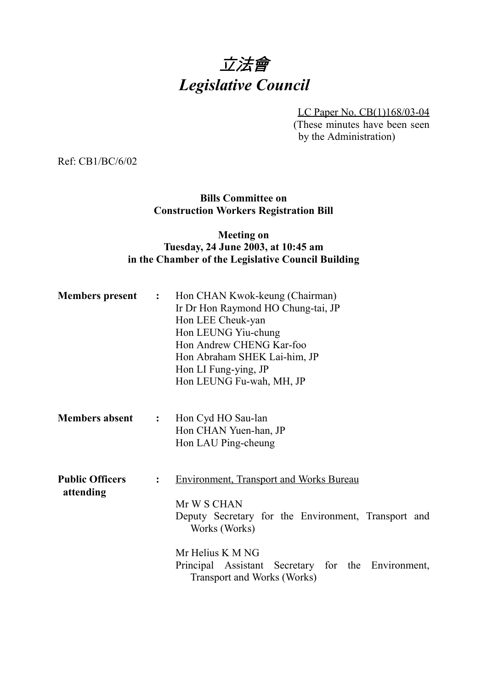# 立法會 *Legislative Council*

LC Paper No. CB(1)168/03-04

(These minutes have been seen by the Administration)

Ref: CB1/BC/6/02

## **Bills Committee on Construction Workers Registration Bill**

### **Meeting on Tuesday, 24 June 2003, at 10:45 am in the Chamber of the Legislative Council Building**

| <b>Members</b> present              | $\ddot{\cdot}$ | Hon CHAN Kwok-keung (Chairman)<br>Ir Dr Hon Raymond HO Chung-tai, JP<br>Hon LEE Cheuk-yan<br>Hon LEUNG Yiu-chung<br>Hon Andrew CHENG Kar-foo<br>Hon Abraham SHEK Lai-him, JP<br>Hon LI Fung-ying, JP<br>Hon LEUNG Fu-wah, MH, JP               |  |  |  |
|-------------------------------------|----------------|------------------------------------------------------------------------------------------------------------------------------------------------------------------------------------------------------------------------------------------------|--|--|--|
| <b>Members absent</b>               | $\ddot{\cdot}$ | Hon Cyd HO Sau-lan<br>Hon CHAN Yuen-han, JP<br>Hon LAU Ping-cheung                                                                                                                                                                             |  |  |  |
| <b>Public Officers</b><br>attending | $\ddot{\cdot}$ | <b>Environment, Transport and Works Bureau</b><br>Mr W S CHAN<br>Deputy Secretary for the Environment, Transport and<br>Works (Works)<br>Mr Helius K M NG<br>Principal Assistant Secretary for the Environment,<br>Transport and Works (Works) |  |  |  |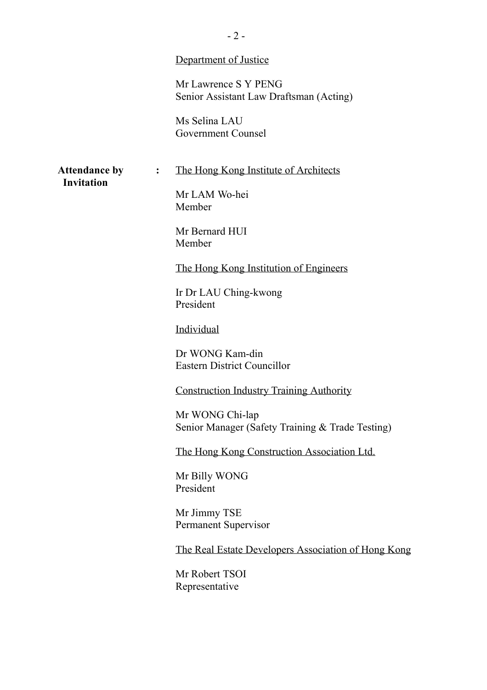|                      |                | Department of Justice                                               |
|----------------------|----------------|---------------------------------------------------------------------|
|                      |                | Mr Lawrence S Y PENG<br>Senior Assistant Law Draftsman (Acting)     |
|                      |                | Ms Selina LAU<br>Government Counsel                                 |
| <b>Attendance by</b> | $\ddot{\cdot}$ | The Hong Kong Institute of Architects                               |
| <b>Invitation</b>    |                | Mr LAM Wo-hei<br>Member                                             |
|                      |                | Mr Bernard HUI<br>Member                                            |
|                      |                | The Hong Kong Institution of Engineers                              |
|                      |                | Ir Dr LAU Ching-kwong<br>President                                  |
|                      |                | Individual                                                          |
|                      |                | Dr WONG Kam-din<br><b>Eastern District Councillor</b>               |
|                      |                | <b>Construction Industry Training Authority</b>                     |
|                      |                | Mr WONG Chi-lap<br>Senior Manager (Safety Training & Trade Testing) |
|                      |                | The Hong Kong Construction Association Ltd.                         |
|                      |                | Mr Billy WONG<br>President                                          |
|                      |                | Mr Jimmy TSE<br>Permanent Supervisor                                |
|                      |                | The Real Estate Developers Association of Hong Kong                 |
|                      |                | Mr Robert TSOI<br>Representative                                    |
|                      |                |                                                                     |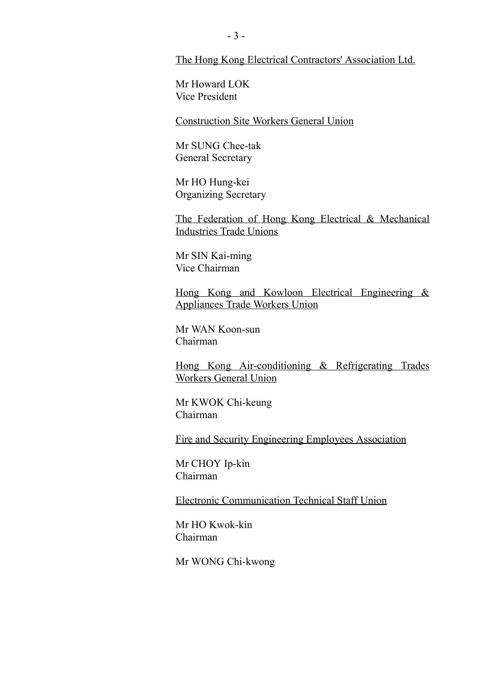The Hong Kong Electrical Contractors' Association Ltd.

Mr Howard LOK Vice President

Construction Site Workers General Union

Mr SUNG Chee-tak General Secretary

Mr HO Hung-kei Organizing Secretary

The Federation of Hong Kong Electrical & Mechanical Industries Trade Unions

Mr SIN Kai-ming Vice Chairman

Hong Kong and Kowloon Electrical Engineering & Appliances Trade Workers Union

Mr WAN Koon-sun Chairman

Hong Kong Air-conditioning & Refrigerating Trades Workers General Union

Mr KWOK Chi-keung Chairman

Fire and Security Engineering Employees Association

Mr CHOY Ip-kin Chairman

Electronic Communication Technical Staff Union

Mr HO Kwok-kin Chairman

Mr WONG Chi-kwong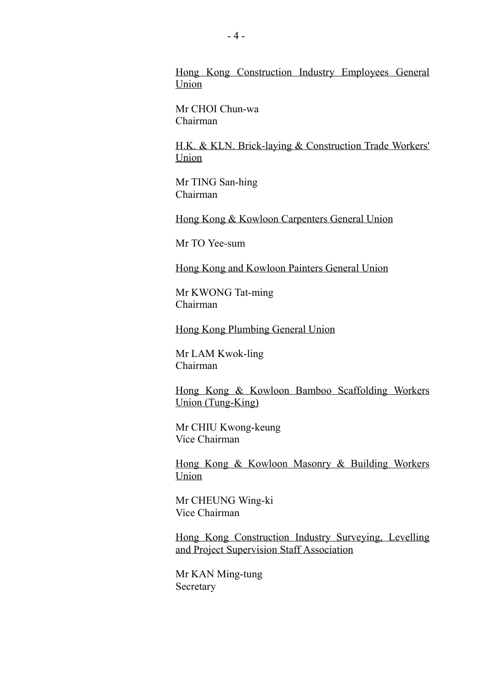Hong Kong Construction Industry Employees General Union

Mr CHOI Chun-wa Chairman

H.K. & KLN. Brick-laying & Construction Trade Workers' Union

Mr TING San-hing Chairman

Hong Kong & Kowloon Carpenters General Union

Mr TO Yee-sum

Hong Kong and Kowloon Painters General Union

Mr KWONG Tat-ming Chairman

Hong Kong Plumbing General Union

Mr LAM Kwok-ling Chairman

Hong Kong & Kowloon Bamboo Scaffolding Workers Union (Tung-King)

Mr CHIU Kwong-keung Vice Chairman

Hong Kong & Kowloon Masonry & Building Workers Union

Mr CHEUNG Wing-ki Vice Chairman

Hong Kong Construction Industry Surveying, Levelling and Project Supervision Staff Association

Mr KAN Ming-tung **Secretary**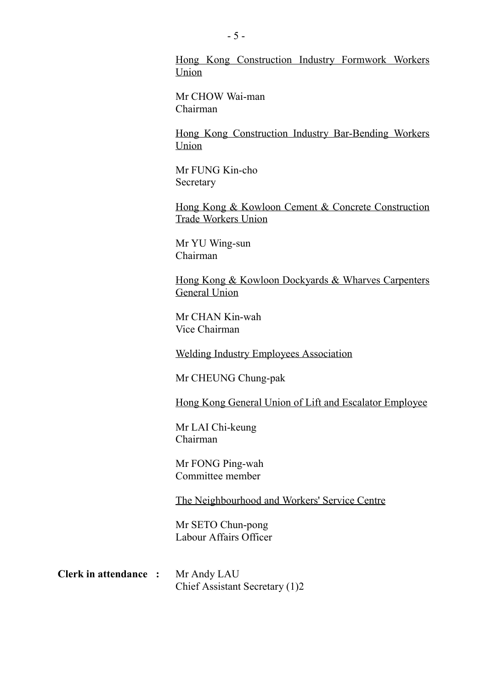Hong Kong Construction Industry Formwork Workers Union

Mr CHOW Wai-man Chairman

Hong Kong Construction Industry Bar-Bending Workers Union

Mr FUNG Kin-cho **Secretary** 

Hong Kong & Kowloon Cement & Concrete Construction Trade Workers Union

Mr YU Wing-sun Chairman

Hong Kong & Kowloon Dockyards & Wharves Carpenters General Union

Mr CHAN Kin-wah Vice Chairman

Welding Industry Employees Association

Mr CHEUNG Chung-pak

Hong Kong General Union of Lift and Escalator Employee

Mr LAI Chi-keung Chairman

Mr FONG Ping-wah Committee member

The Neighbourhood and Workers' Service Centre

Mr SETO Chun-pong Labour Affairs Officer

**Clerk in attendance :** Mr Andy LAU Chief Assistant Secretary (1)2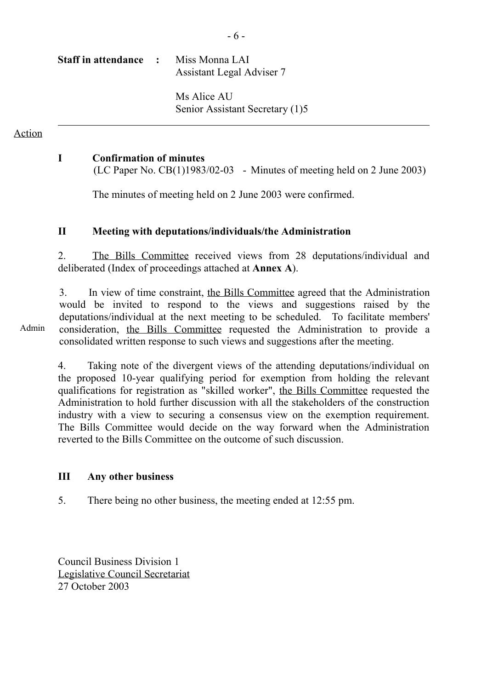| <b>Staff in attendance :</b> | Miss Monna LAI<br>Assistant Legal Adviser 7    |  |
|------------------------------|------------------------------------------------|--|
|                              | Ms Alice AU<br>Senior Assistant Secretary (1)5 |  |

Action

ı

#### **I Confirmation of minutes**

(LC Paper No.  $CB(1)1983/02-03$  - Minutes of meeting held on 2 June 2003)

The minutes of meeting held on 2 June 2003 were confirmed.

#### **II Meeting with deputations/individuals/the Administration**

2. The Bills Committee received views from 28 deputations/individual and deliberated (Index of proceedings attached at **Annex A**).

3. In view of time constraint, the Bills Committee agreed that the Administration would be invited to respond to the views and suggestions raised by the deputations/individual at the next meeting to be scheduled. To facilitate members' consideration, the Bills Committee requested the Administration to provide a consolidated written response to such views and suggestions after the meeting.

Admin

4. Taking note of the divergent views of the attending deputations/individual on the proposed 10-year qualifying period for exemption from holding the relevant qualifications for registration as "skilled worker", the Bills Committee requested the Administration to hold further discussion with all the stakeholders of the construction industry with a view to securing a consensus view on the exemption requirement. The Bills Committee would decide on the way forward when the Administration reverted to the Bills Committee on the outcome of such discussion.

#### **III Any other business**

5. There being no other business, the meeting ended at 12:55 pm.

Council Business Division 1 Legislative Council Secretariat 27 October 2003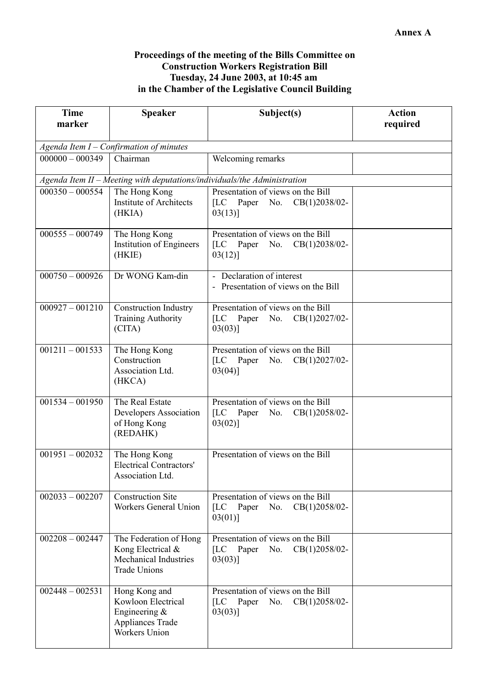#### **Proceedings of the meeting of the Bills Committee on Construction Workers Registration Bill Tuesday, 24 June 2003, at 10:45 am in the Chamber of the Legislative Council Building**

| <b>Time</b>                               | <b>Speaker</b>                                                                                             | Subject(s)                                                                                          | <b>Action</b> |  |
|-------------------------------------------|------------------------------------------------------------------------------------------------------------|-----------------------------------------------------------------------------------------------------|---------------|--|
| marker                                    |                                                                                                            |                                                                                                     | required      |  |
| Agenda Item $I$ – Confirmation of minutes |                                                                                                            |                                                                                                     |               |  |
| $000000 - 000349$<br>Chairman             |                                                                                                            | Welcoming remarks                                                                                   |               |  |
|                                           |                                                                                                            | Agenda Item II - Meeting with deputations/individuals/the Administration                            |               |  |
| $000350 - 000554$                         | The Hong Kong<br><b>Institute of Architects</b><br>(HKIA)                                                  | Presentation of views on the Bill<br>[LC Paper No. CB(1)2038/02-<br>$03(13)$ ]                      |               |  |
| $000555 - 000749$                         | The Hong Kong<br><b>Institution of Engineers</b><br>(HKIE)                                                 | Presentation of views on the Bill<br>[LC Paper No. CB(1)2038/02-<br>$03(12)$ ]                      |               |  |
| $000750 - 000926$                         | Dr WONG Kam-din                                                                                            | - Declaration of interest<br>- Presentation of views on the Bill                                    |               |  |
| $000927 - 001210$                         | <b>Construction Industry</b><br><b>Training Authority</b><br>(CITA)                                        | Presentation of views on the Bill<br>[LC Paper No. CB(1)2027/02-<br>$03(03)$ ]                      |               |  |
| $001211 - 001533$                         | The Hong Kong<br>Construction<br>Association Ltd.<br>(HKCA)                                                | Presentation of views on the Bill<br>[LC Paper No. CB(1)2027/02-<br>$03(04)$ ]                      |               |  |
| $001534 - 001950$                         | The Real Estate<br>Developers Association<br>of Hong Kong<br>(REDAHK)                                      | Presentation of views on the Bill<br>[LC Paper No. $CB(1)2058/02-$<br>$03(02)$ ]                    |               |  |
| $001951 - 002032$                         | The Hong Kong<br><b>Electrical Contractors'</b><br>Association Ltd.                                        | Presentation of views on the Bill                                                                   |               |  |
| $002033 - 002207$                         | <b>Construction Site</b><br><b>Workers General Union</b>                                                   | Presentation of views on the Bill<br>Paper No. CB(1)2058/02-<br>$\overline{\rm{L}}$ C<br>$03(01)$ ] |               |  |
| $002208 - 002447$                         | The Federation of Hong<br>Kong Electrical &<br><b>Mechanical Industries</b><br><b>Trade Unions</b>         | Presentation of views on the Bill<br>[LC Paper<br>No. $CB(1)2058/02$ -<br>$03(03)$ ]                |               |  |
| $002448 - 002531$                         | Hong Kong and<br>Kowloon Electrical<br>Engineering $\&$<br><b>Appliances Trade</b><br><b>Workers Union</b> | Presentation of views on the Bill<br>[LC Paper No. CB(1)2058/02-<br>$03(03)$ ]                      |               |  |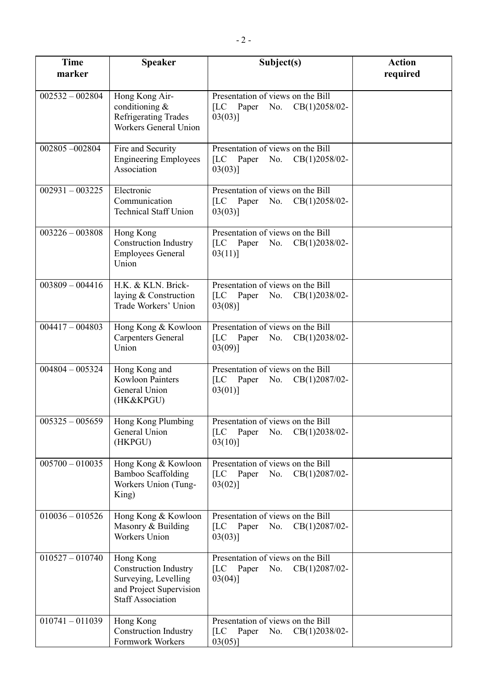| <b>Time</b><br>marker | <b>Speaker</b>                                                                                                           | Subject(s)                                                                                 | <b>Action</b><br>required |
|-----------------------|--------------------------------------------------------------------------------------------------------------------------|--------------------------------------------------------------------------------------------|---------------------------|
| $002532 - 002804$     | Hong Kong Air-<br>conditioning $&$<br><b>Refrigerating Trades</b><br><b>Workers General Union</b>                        | Presentation of views on the Bill<br>[LC Paper No. CB(1)2058/02-<br>$03(03)$ ]             |                           |
| 002805-002804         | Fire and Security<br><b>Engineering Employees</b><br>Association                                                         | Presentation of views on the Bill<br>[LC Paper No. CB(1)2058/02-<br>$03(03)$ ]             |                           |
| $002931 - 003225$     | Electronic<br>Communication<br><b>Technical Staff Union</b>                                                              | Presentation of views on the Bill<br>[LC Paper No. CB(1)2058/02-<br>$03(03)$ ]             |                           |
| $003226 - 003808$     | Hong Kong<br><b>Construction Industry</b><br><b>Employees General</b><br>Union                                           | Presentation of views on the Bill<br>[LC Paper No. $CB(1)2038/02-$<br>$03(11)$ ]           |                           |
| $003809 - 004416$     | H.K. & KLN. Brick-<br>laying & Construction<br>Trade Workers' Union                                                      | Presentation of views on the Bill<br>[LC Paper No. CB(1)2038/02-<br>$03(08)$ ]             |                           |
| $004417 - 004803$     | Hong Kong & Kowloon<br><b>Carpenters General</b><br>Union                                                                | Presentation of views on the Bill<br>[LC Paper No. CB(1)2038/02-<br>$03(09)$ ]             |                           |
| $004804 - 005324$     | Hong Kong and<br><b>Kowloon Painters</b><br>General Union<br>(HK&KPGU)                                                   | Presentation of views on the Bill<br>[LC Paper No. CB(1)2087/02-<br>$03(01)$ ]             |                           |
| $005325 - 005659$     | Hong Kong Plumbing<br>General Union<br>(HKPGU)                                                                           | Presentation of views on the Bill<br>[LC Paper No. $CB(1)2038/02-$<br>$03(10)$ ]           |                           |
| $005700 - 010035$     | Hong Kong & Kowloon<br><b>Bamboo Scaffolding</b><br>Workers Union (Tung-<br>King)                                        | Presentation of views on the Bill<br>$CB(1)2087/02-$<br>[LC<br>Paper<br>No.<br>$03(02)$ ]  |                           |
| $010036 - 010526$     | Hong Kong & Kowloon<br>Masonry & Building<br><b>Workers Union</b>                                                        | Presentation of views on the Bill<br>[LC Paper No.<br>$CB(1)2087/02$ -<br>$03(03)$ ]       |                           |
| $010527 - 010740$     | Hong Kong<br><b>Construction Industry</b><br>Surveying, Levelling<br>and Project Supervision<br><b>Staff Association</b> | Presentation of views on the Bill<br>[LC Paper No. CB(1)2087/02-<br>$03(04)$ ]             |                           |
| $010741 - 011039$     | Hong Kong<br><b>Construction Industry</b><br>Formwork Workers                                                            | Presentation of views on the Bill<br>[LC]<br>Paper<br>No.<br>$CB(1)2038/02-$<br>$03(05)$ ] |                           |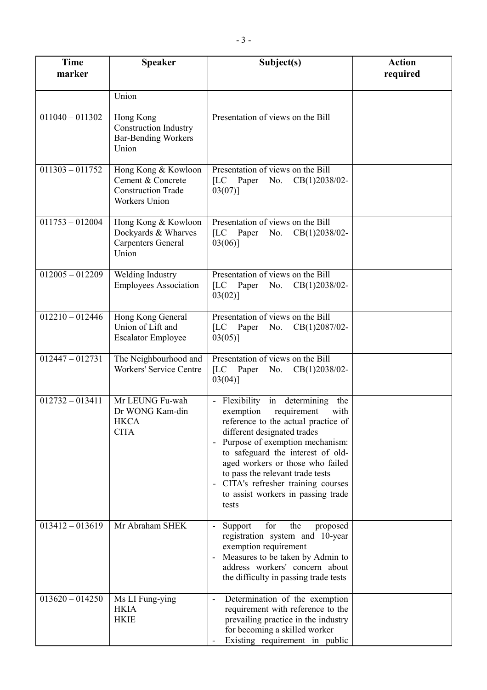| <b>Time</b><br>marker | <b>Speaker</b>                                                                         | Subject(s)                                                                                                                                                                                                                                                                                                                                                                       | <b>Action</b><br>required |
|-----------------------|----------------------------------------------------------------------------------------|----------------------------------------------------------------------------------------------------------------------------------------------------------------------------------------------------------------------------------------------------------------------------------------------------------------------------------------------------------------------------------|---------------------------|
|                       | Union                                                                                  |                                                                                                                                                                                                                                                                                                                                                                                  |                           |
| $011040 - 011302$     | Hong Kong<br><b>Construction Industry</b><br><b>Bar-Bending Workers</b><br>Union       | Presentation of views on the Bill                                                                                                                                                                                                                                                                                                                                                |                           |
| $011303 - 011752$     | Hong Kong & Kowloon<br>Cement & Concrete<br><b>Construction Trade</b><br>Workers Union | Presentation of views on the Bill<br>[LC Paper No. CB(1)2038/02-<br>$03(07)$ ]                                                                                                                                                                                                                                                                                                   |                           |
| $011753 - 012004$     | Hong Kong & Kowloon<br>Dockyards & Wharves<br><b>Carpenters General</b><br>Union       | Presentation of views on the Bill<br>[LC Paper No. CB(1)2038/02-<br>$03(06)$ ]                                                                                                                                                                                                                                                                                                   |                           |
| $012005 - 012209$     | Welding Industry<br><b>Employees Association</b>                                       | Presentation of views on the Bill<br>[LC Paper No. CB(1)2038/02-<br>$03(02)$ ]                                                                                                                                                                                                                                                                                                   |                           |
| $012210 - 012446$     | Hong Kong General<br>Union of Lift and<br><b>Escalator Employee</b>                    | Presentation of views on the Bill<br>[LC Paper No. CB(1)2087/02-<br>$03(05)$ ]                                                                                                                                                                                                                                                                                                   |                           |
| $012447 - 012731$     | The Neighbourhood and<br><b>Workers' Service Centre</b>                                | Presentation of views on the Bill<br>[LC Paper No. CB(1)2038/02-<br>$03(04)$ ]                                                                                                                                                                                                                                                                                                   |                           |
| $012732 - 013411$     | Mr LEUNG Fu-wah<br>Dr WONG Kam-din<br><b>HKCA</b><br><b>CITA</b>                       | - Flexibility in determining the<br>exemption<br>requirement<br>with<br>reference to the actual practice of<br>different designated trades<br>Purpose of exemption mechanism:<br>to safeguard the interest of old-<br>aged workers or those who failed<br>to pass the relevant trade tests<br>- CITA's refresher training courses<br>to assist workers in passing trade<br>tests |                           |
| $013412 - 013619$     | Mr Abraham SHEK                                                                        | for<br>Support<br>the<br>proposed<br>registration system and 10-year<br>exemption requirement<br>Measures to be taken by Admin to<br>address workers' concern about<br>the difficulty in passing trade tests                                                                                                                                                                     |                           |
| $013620 - 014250$     | Ms LI Fung-ying<br><b>HKIA</b><br><b>HKIE</b>                                          | Determination of the exemption<br>requirement with reference to the<br>prevailing practice in the industry<br>for becoming a skilled worker<br>Existing requirement in public                                                                                                                                                                                                    |                           |